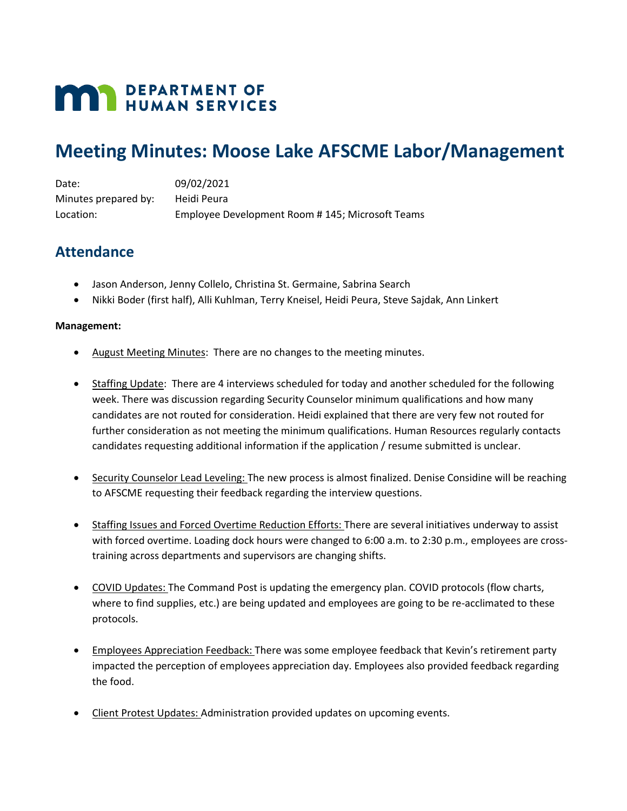# **MAY DEPARTMENT OF HUMAN SERVICES**

## **Meeting Minutes: Moose Lake AFSCME Labor/Management**

Date: 09/02/2021 Minutes prepared by: Heidi Peura Location: Employee Development Room # 145; Microsoft Teams

## **Attendance**

- Jason Anderson, Jenny Collelo, Christina St. Germaine, Sabrina Search
- Nikki Boder (first half), Alli Kuhlman, Terry Kneisel, Heidi Peura, Steve Sajdak, Ann Linkert

### **Management:**

- August Meeting Minutes: There are no changes to the meeting minutes.
- Staffing Update: There are 4 interviews scheduled for today and another scheduled for the following week. There was discussion regarding Security Counselor minimum qualifications and how many candidates are not routed for consideration. Heidi explained that there are very few not routed for further consideration as not meeting the minimum qualifications. Human Resources regularly contacts candidates requesting additional information if the application / resume submitted is unclear.
- Security Counselor Lead Leveling: The new process is almost finalized. Denise Considine will be reaching to AFSCME requesting their feedback regarding the interview questions.
- Staffing Issues and Forced Overtime Reduction Efforts: There are several initiatives underway to assist with forced overtime. Loading dock hours were changed to 6:00 a.m. to 2:30 p.m., employees are crosstraining across departments and supervisors are changing shifts.
- COVID Updates: The Command Post is updating the emergency plan. COVID protocols (flow charts, where to find supplies, etc.) are being updated and employees are going to be re-acclimated to these protocols.
- Employees Appreciation Feedback: There was some employee feedback that Kevin's retirement party impacted the perception of employees appreciation day. Employees also provided feedback regarding the food.
- Client Protest Updates: Administration provided updates on upcoming events.